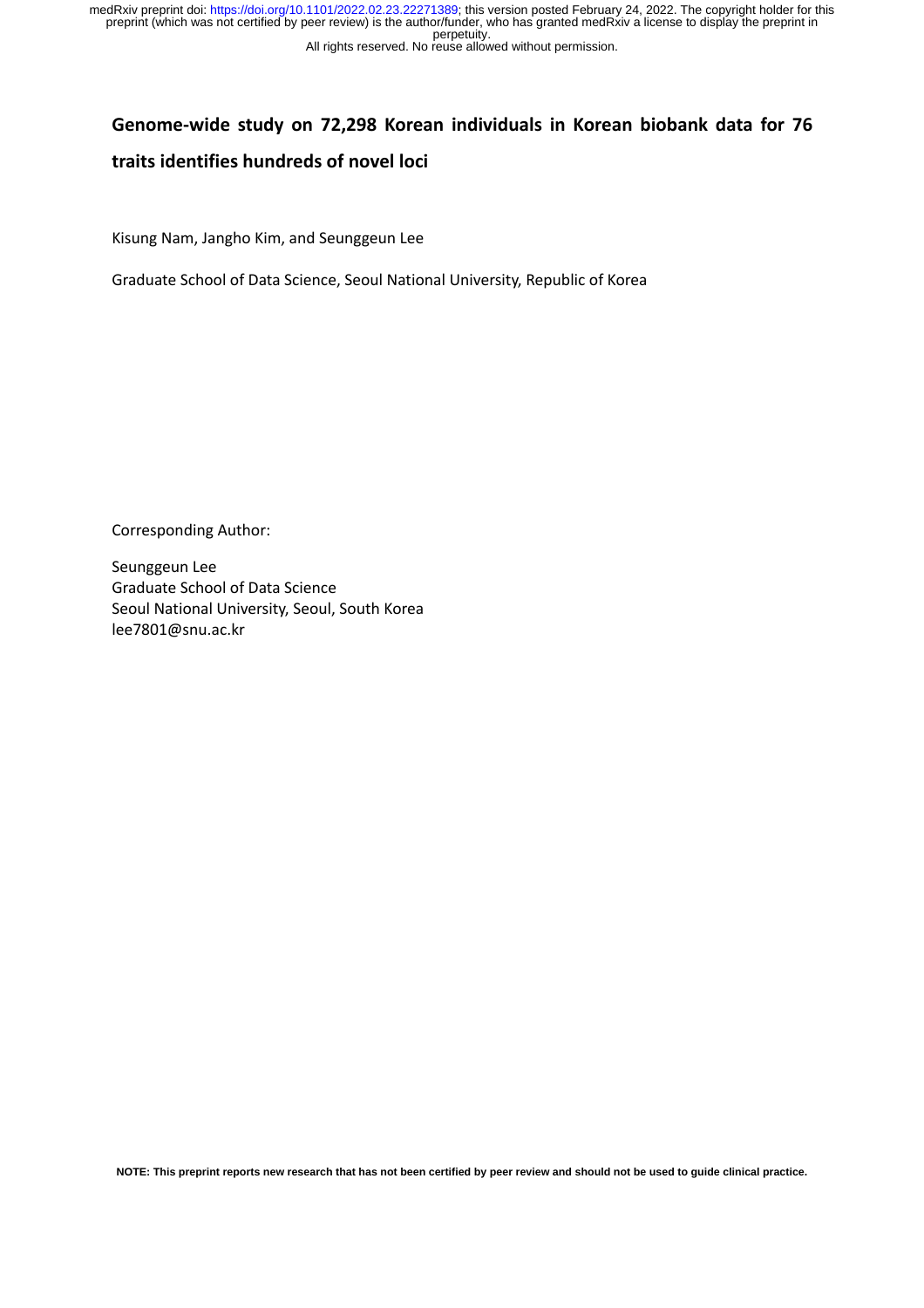# All rights reserved. No reuse allowed without permission.

# **Genome-wide study on 72,298 Korean individuals in Korean biobank data for 76 traits identifies hundreds of novel loci**

Kisung Nam, Jangho Kim, and Seunggeun Lee

Graduate School of Data Science, Seoul National University, Republic of Korea

Corresponding Author:

Seunggeun Lee Graduate School of Data Science Seoul National University, Seoul, South Korea lee7801@snu.ac.kr

**NOTE: This preprint reports new research that has not been certified by peer review and should not be used to guide clinical practice.**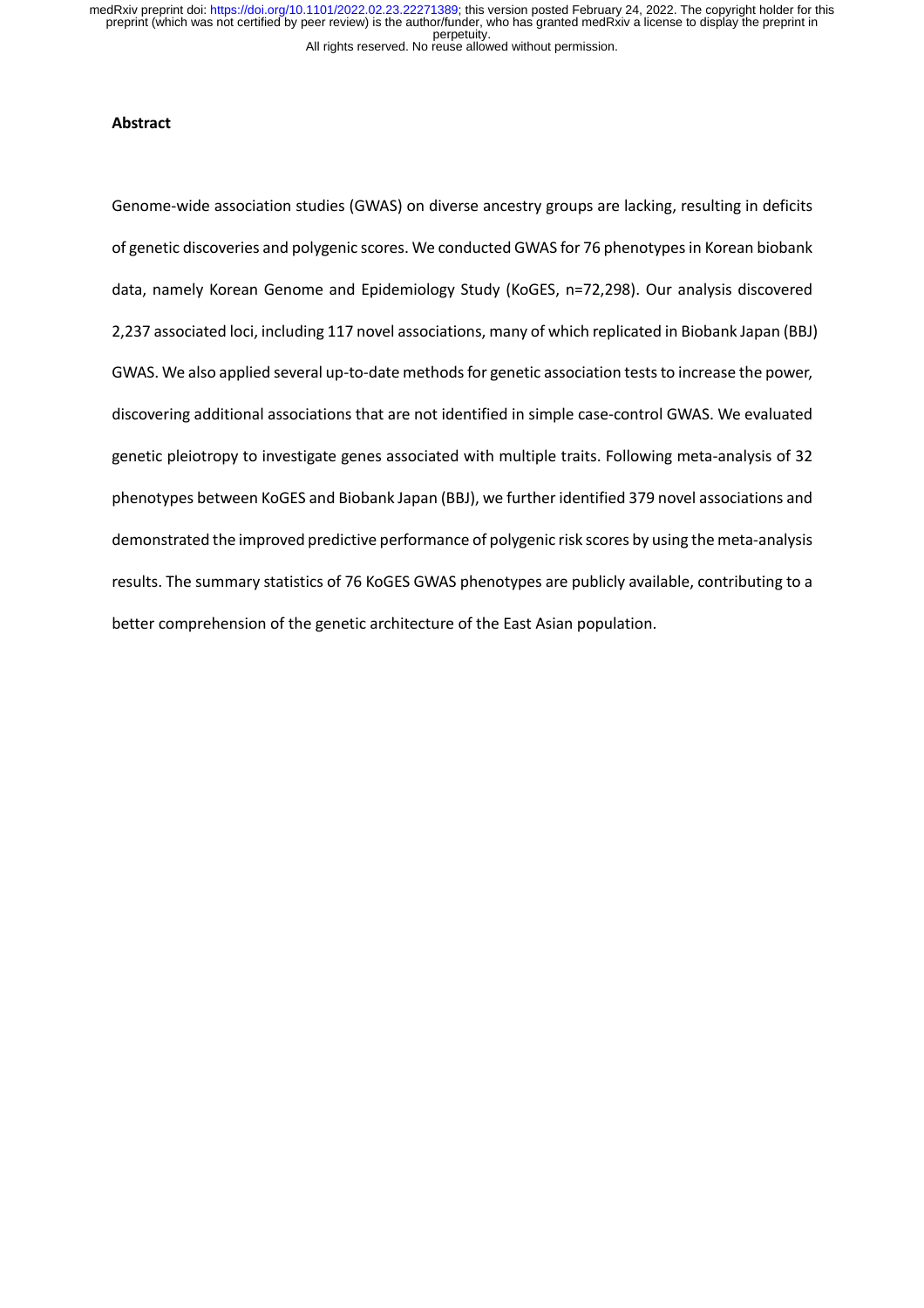# **Abstract**

Genome-wide association studies (GWAS) on diverse ancestry groups are lacking, resulting in deficits of genetic discoveries and polygenic scores. We conducted GWAS for 76 phenotypes in Korean biobank data, namely Korean Genome and Epidemiology Study (KoGES, n=72,298). Our analysis discovered 2,237 associated loci, including 117 novel associations, many of which replicated in Biobank Japan (BBJ) GWAS. We also applied several up-to-date methods for genetic association tests to increase the power, discovering additional associations that are not identified in simple case-control GWAS. We evaluated genetic pleiotropy to investigate genes associated with multiple traits. Following meta-analysis of 32 phenotypes between KoGES and Biobank Japan (BBJ), we further identified 379 novel associations and demonstrated the improved predictive performance of polygenic risk scores by using the meta-analysis results. The summary statistics of 76 KoGES GWAS phenotypes are publicly available, contributing to a better comprehension of the genetic architecture of the East Asian population.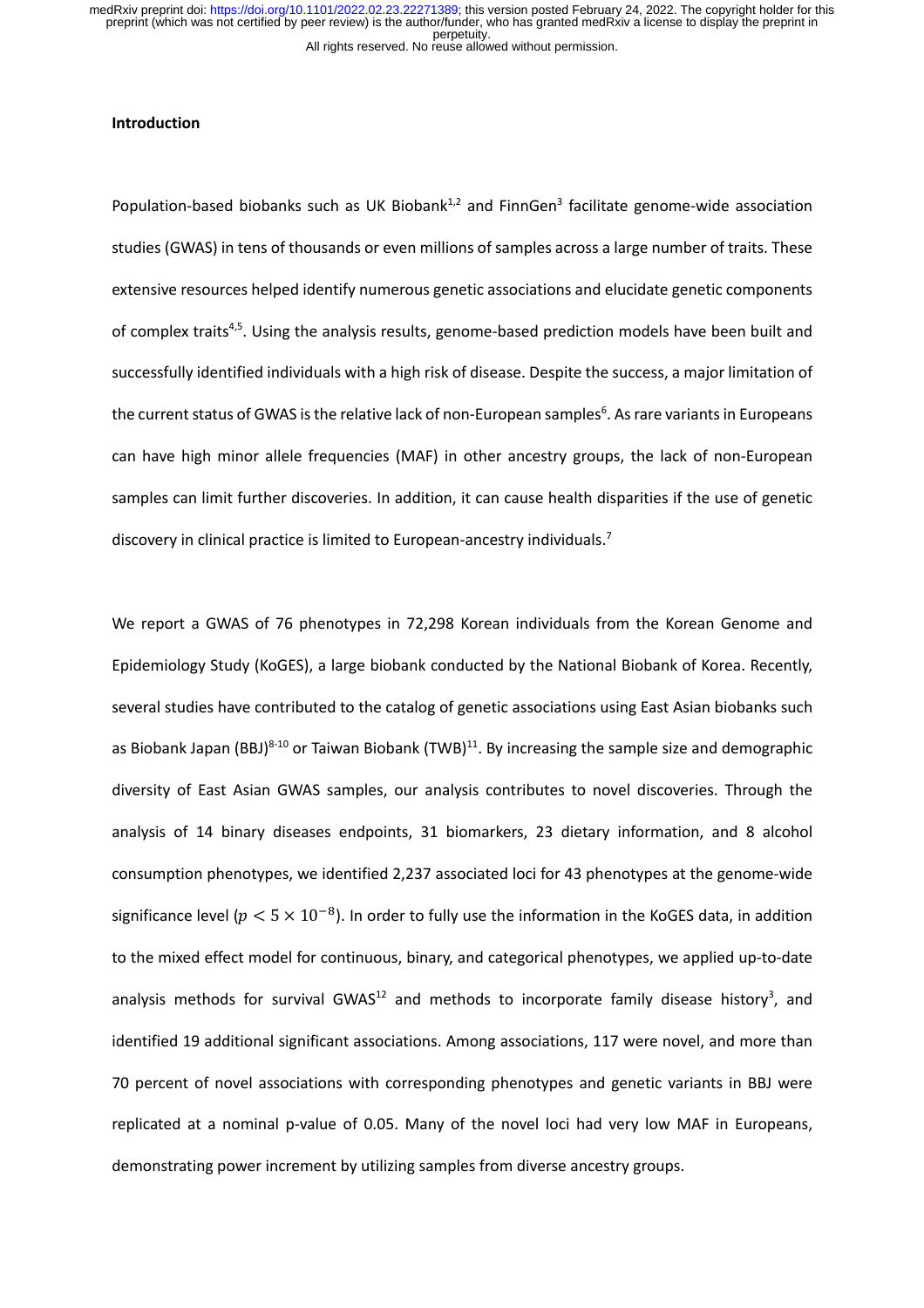## **Introduction**

Population-based biobanks such as UK Biobank $1,2$  and FinnGen<sup>3</sup> facilitate genome-wide association studies (GWAS) in tens of thousands or even millions of samples across a large number of traits. These extensive resources helped identify numerous genetic associations and elucidate genetic components of complex traits<sup>4,5</sup>. Using the analysis results, genome-based prediction models have been built and successfully identified individuals with a high risk of disease. Despite the success, a major limitation of the current status of GWAS is the relative lack of non-European samples<sup>6</sup>. As rare variants in Europeans can have high minor allele frequencies (MAF) in other ancestry groups, the lack of non-European samples can limit further discoveries. In addition, it can cause health disparities if the use of genetic discovery in clinical practice is limited to European-ancestry individuals.<sup>7</sup>

We report a GWAS of 76 phenotypes in 72,298 Korean individuals from the Korean Genome and Epidemiology Study (KoGES), a large biobank conducted by the National Biobank of Korea. Recently, several studies have contributed to the catalog of genetic associations using East Asian biobanks such as Biobank Japan (BBJ)<sup>8-10</sup> or Taiwan Biobank (TWB)<sup>11</sup>. By increasing the sample size and demographic diversity of East Asian GWAS samples, our analysis contributes to novel discoveries. Through the analysis of 14 binary diseases endpoints, 31 biomarkers, 23 dietary information, and 8 alcohol consumption phenotypes, we identified 2,237 associated loci for 43 phenotypes at the genome-wide significance level ( $p < 5 \times 10^{-8}$ ). In order to fully use the information in the KoGES data, in addition to the mixed effect model for continuous, binary, and categorical phenotypes, we applied up-to-date analysis methods for survival GWAS<sup>12</sup> and methods to incorporate family disease history<sup>3</sup>, and identified 19 additional significant associations. Among associations, 117 were novel, and more than 70 percent of novel associations with corresponding phenotypes and genetic variants in BBJ were replicated at a nominal p-value of 0.05. Many of the novel loci had very low MAF in Europeans, demonstrating power increment by utilizing samples from diverse ancestry groups.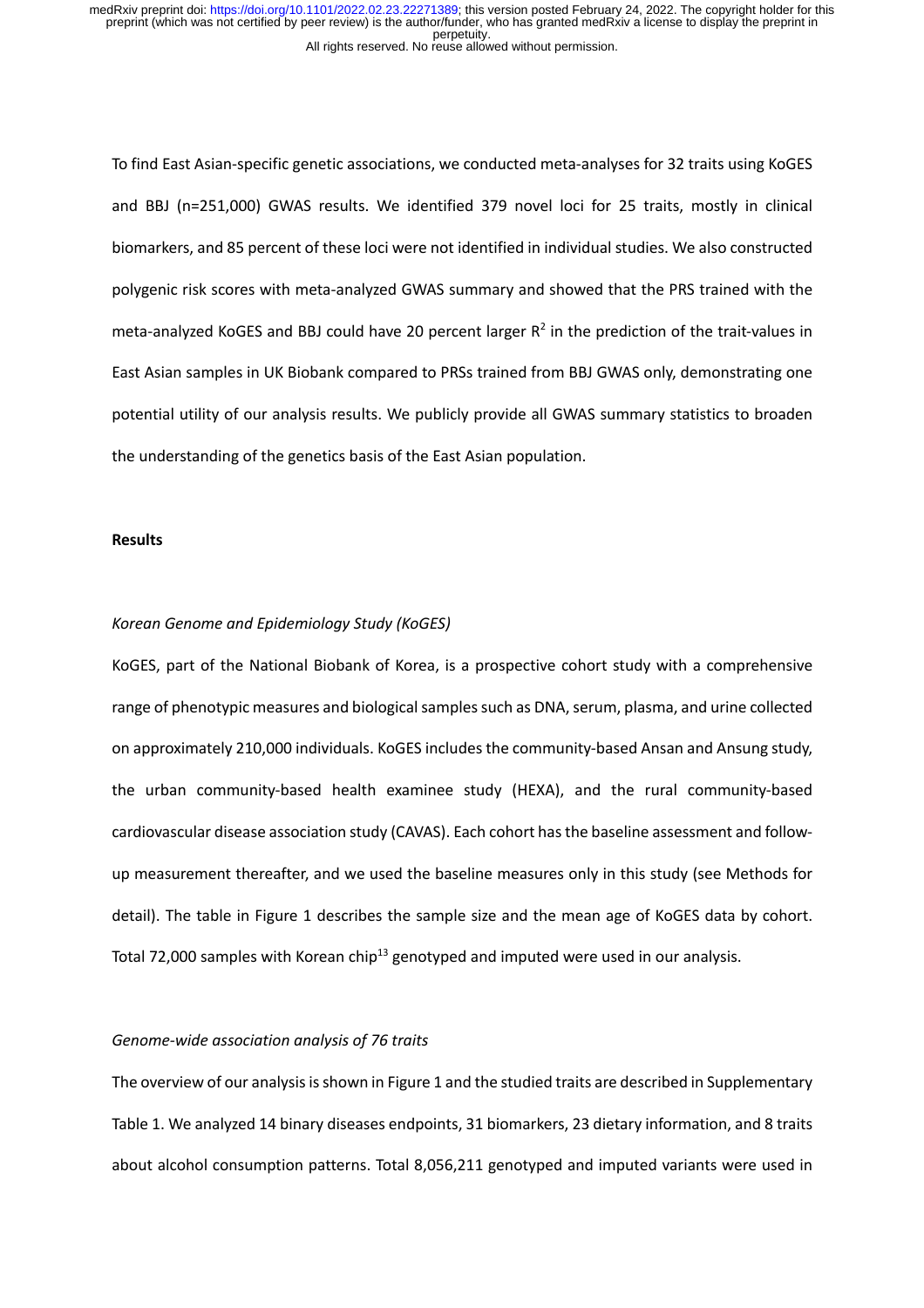To find East Asian-specific genetic associations, we conducted meta-analyses for 32 traits using KoGES and BBJ (n=251,000) GWAS results. We identified 379 novel loci for 25 traits, mostly in clinical biomarkers, and 85 percent of these loci were not identified in individual studies. We also constructed polygenic risk scores with meta-analyzed GWAS summary and showed that the PRS trained with the meta-analyzed KoGES and BBJ could have 20 percent larger  $R^2$  in the prediction of the trait-values in East Asian samples in UK Biobank compared to PRSs trained from BBJ GWAS only, demonstrating one potential utility of our analysis results. We publicly provide all GWAS summary statistics to broaden the understanding of the genetics basis of the East Asian population.

#### **Results**

# *Korean Genome and Epidemiology Study (KoGES)*

KoGES, part of the National Biobank of Korea, is a prospective cohort study with a comprehensive range of phenotypic measures and biological samples such as DNA, serum, plasma, and urine collected on approximately 210,000 individuals. KoGES includes the community-based Ansan and Ansung study, the urban community-based health examinee study (HEXA), and the rural community-based cardiovascular disease association study (CAVAS). Each cohort has the baseline assessment and followup measurement thereafter, and we used the baseline measures only in this study (see Methods for detail). The table in Figure 1 describes the sample size and the mean age of KoGES data by cohort. Total 72,000 samples with Korean chip<sup>13</sup> genotyped and imputed were used in our analysis.

#### *Genome-wide association analysis of 76 traits*

The overview of our analysis is shown in Figure 1 and the studied traits are described in Supplementary Table 1. We analyzed 14 binary diseases endpoints, 31 biomarkers, 23 dietary information, and 8 traits about alcohol consumption patterns. Total 8,056,211 genotyped and imputed variants were used in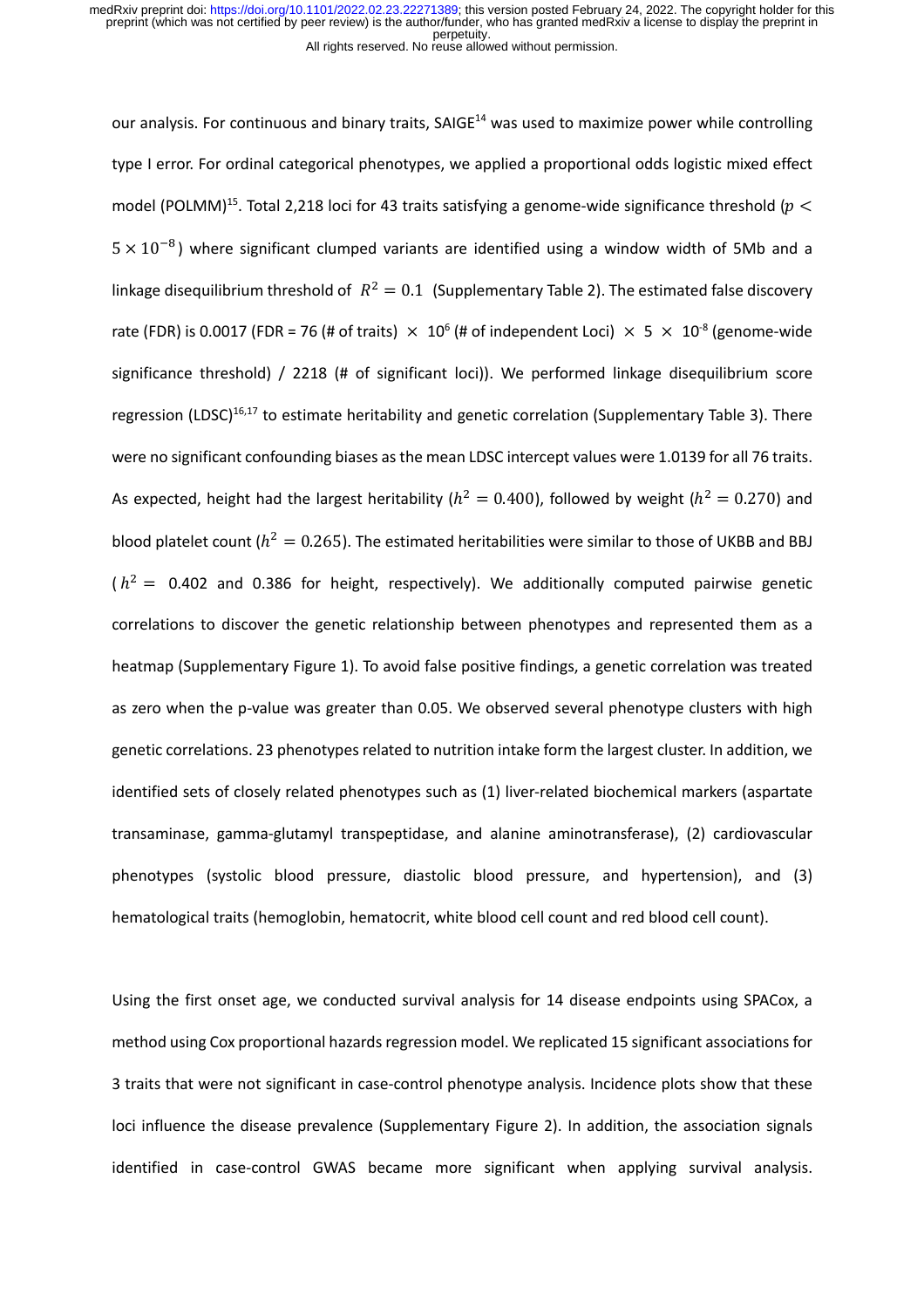our analysis. For continuous and binary traits, SAIGE<sup>14</sup> was used to maximize power while controlling type I error. For ordinal categorical phenotypes, we applied a proportional odds logistic mixed effect model (POLMM)<sup>15</sup>. Total 2,218 loci for 43 traits satisfying a genome-wide significance threshold ( $p <$  $5 \times 10^{-8}$ ) where significant clumped variants are identified using a window width of 5Mb and a linkage disequilibrium threshold of  $R^2 = 0.1$  (Supplementary Table 2). The estimated false discovery rate (FDR) is 0.0017 (FDR = 76 (# of traits)  $\times$  10<sup>6</sup> (# of independent Loci)  $\times$  5  $\times$  10<sup>-8</sup> (genome-wide significance threshold) / 2218 (# of significant loci)). We performed linkage disequilibrium score regression (LDSC)<sup>16,17</sup> to estimate heritability and genetic correlation (Supplementary Table 3). There were no significant confounding biases as the mean LDSC intercept values were 1.0139 for all 76 traits. As expected, height had the largest heritability ( $h^2 = 0.400$ ), followed by weight ( $h^2 = 0.270$ ) and blood platelet count ( $h^2 = 0.265$ ). The estimated heritabilities were similar to those of UKBB and BBJ  $(h^2 = 0.402$  and 0.386 for height, respectively). We additionally computed pairwise genetic correlations to discover the genetic relationship between phenotypes and represented them as a heatmap (Supplementary Figure 1). To avoid false positive findings, a genetic correlation was treated as zero when the p-value was greater than 0.05. We observed several phenotype clusters with high genetic correlations. 23 phenotypes related to nutrition intake form the largest cluster. In addition, we identified sets of closely related phenotypes such as (1) liver-related biochemical markers (aspartate transaminase, gamma-glutamyl transpeptidase, and alanine aminotransferase), (2) cardiovascular phenotypes (systolic blood pressure, diastolic blood pressure, and hypertension), and (3) hematological traits (hemoglobin, hematocrit, white blood cell count and red blood cell count).

Using the first onset age, we conducted survival analysis for 14 disease endpoints using SPACox, a method using Cox proportional hazards regression model. We replicated 15 significant associationsfor 3 traits that were not significant in case-control phenotype analysis. Incidence plots show that these loci influence the disease prevalence (Supplementary Figure 2). In addition, the association signals identified in case-control GWAS became more significant when applying survival analysis.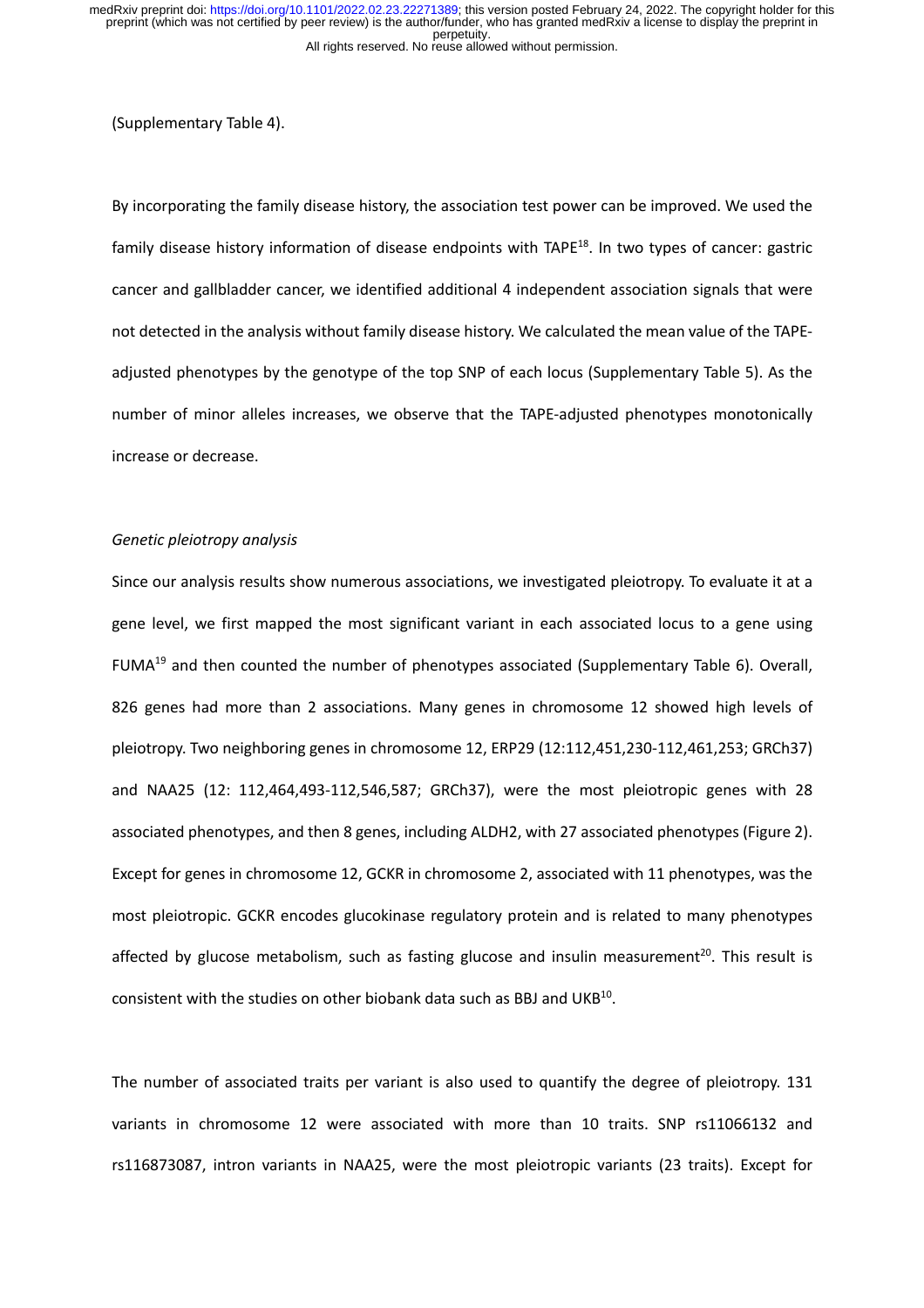(Supplementary Table 4).

By incorporating the family disease history, the association test power can be improved. We used the family disease history information of disease endpoints with TAPE<sup>18</sup>. In two types of cancer: gastric cancer and gallbladder cancer, we identified additional 4 independent association signals that were not detected in the analysis without family disease history. We calculated the mean value of the TAPEadjusted phenotypes by the genotype of the top SNP of each locus (Supplementary Table 5). As the number of minor alleles increases, we observe that the TAPE-adjusted phenotypes monotonically increase or decrease.

#### *Genetic pleiotropy analysis*

Since our analysis results show numerous associations, we investigated pleiotropy. To evaluate it at a gene level, we first mapped the most significant variant in each associated locus to a gene using FUMA<sup>19</sup> and then counted the number of phenotypes associated (Supplementary Table 6). Overall, 826 genes had more than 2 associations. Many genes in chromosome 12 showed high levels of pleiotropy. Two neighboring genes in chromosome 12, ERP29 (12:112,451,230-112,461,253; GRCh37) and NAA25 (12: 112,464,493-112,546,587; GRCh37), were the most pleiotropic genes with 28 associated phenotypes, and then 8 genes, including ALDH2, with 27 associated phenotypes (Figure 2). Except for genes in chromosome 12, GCKR in chromosome 2, associated with 11 phenotypes, was the most pleiotropic. GCKR encodes glucokinase regulatory protein and is related to many phenotypes affected by glucose metabolism, such as fasting glucose and insulin measurement<sup>20</sup>. This result is consistent with the studies on other biobank data such as BBJ and UKB10.

The number of associated traits per variant is also used to quantify the degree of pleiotropy. 131 variants in chromosome 12 were associated with more than 10 traits. SNP rs11066132 and rs116873087, intron variants in NAA25, were the most pleiotropic variants (23 traits). Except for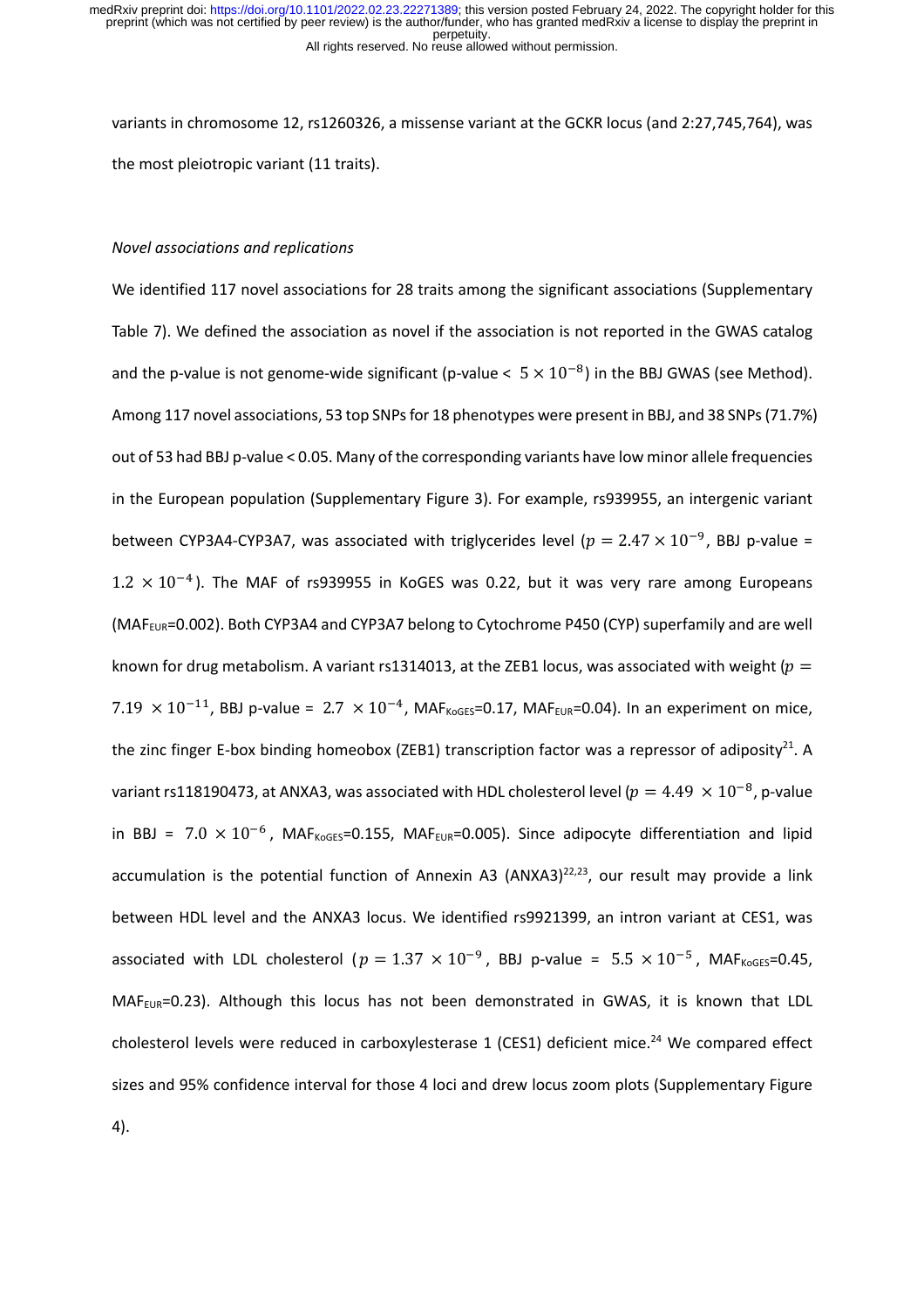variants in chromosome 12, rs1260326, a missense variant at the GCKR locus (and 2:27,745,764), was the most pleiotropic variant (11 traits).

# *Novel associations and replications*

We identified 117 novel associations for 28 traits among the significant associations (Supplementary Table 7). We defined the association as novel if the association is not reported in the GWAS catalog and the p-value is not genome-wide significant (p-value  $< 5 \times 10^{-8}$ ) in the BBJ GWAS (see Method). Among 117 novel associations, 53 top SNPs for 18 phenotypes were present in BBJ, and 38 SNPs (71.7%) out of 53 had BBJ p-value < 0.05. Many of the corresponding variants have low minor allele frequencies in the European population (Supplementary Figure 3). For example, rs939955, an intergenic variant between CYP3A4-CYP3A7, was associated with triglycerides level ( $p = 2.47 \times 10^{-9}$ , BBJ p-value =  $1.2 \times 10^{-4}$ ). The MAF of rs939955 in KoGES was 0.22, but it was very rare among Europeans (MAF<sub>EUR</sub>=0.002). Both CYP3A4 and CYP3A7 belong to Cytochrome P450 (CYP) superfamily and are well known for drug metabolism. A variant rs1314013, at the ZEB1 locus, was associated with weight ( $p =$ 7.19  $\times$  10<sup>-11</sup>, BBJ p-value = 2.7  $\times$  10<sup>-4</sup>, MAF<sub>KoGES</sub>=0.17, MAF<sub>EUR</sub>=0.04). In an experiment on mice, the zinc finger E-box binding homeobox (ZEB1) transcription factor was a repressor of adiposity<sup>21</sup>. A variant rs118190473, at ANXA3, was associated with HDL cholesterol level ( $p = 4.49 \times 10^{-8}$ , p-value in BBJ =  $7.0 \times 10^{-6}$ , MAF<sub>KoGES</sub>=0.155, MAF<sub>EUR</sub>=0.005). Since adipocyte differentiation and lipid accumulation is the potential function of Annexin A3 (ANXA3) $^{22,23}$ , our result may provide a link between HDL level and the ANXA3 locus. We identified rs9921399, an intron variant at CES1, was associated with LDL cholesterol ( $p = 1.37 \times 10^{-9}$ , BBJ p-value =  $5.5 \times 10^{-5}$ , MAF<sub>KoGES</sub>=0.45,  $MAF<sub>EUR</sub>=0.23$ ). Although this locus has not been demonstrated in GWAS, it is known that LDL cholesterol levels were reduced in carboxylesterase 1 (CES1) deficient mice.<sup>24</sup> We compared effect sizes and 95% confidence interval for those 4 loci and drew locus zoom plots (Supplementary Figure 4).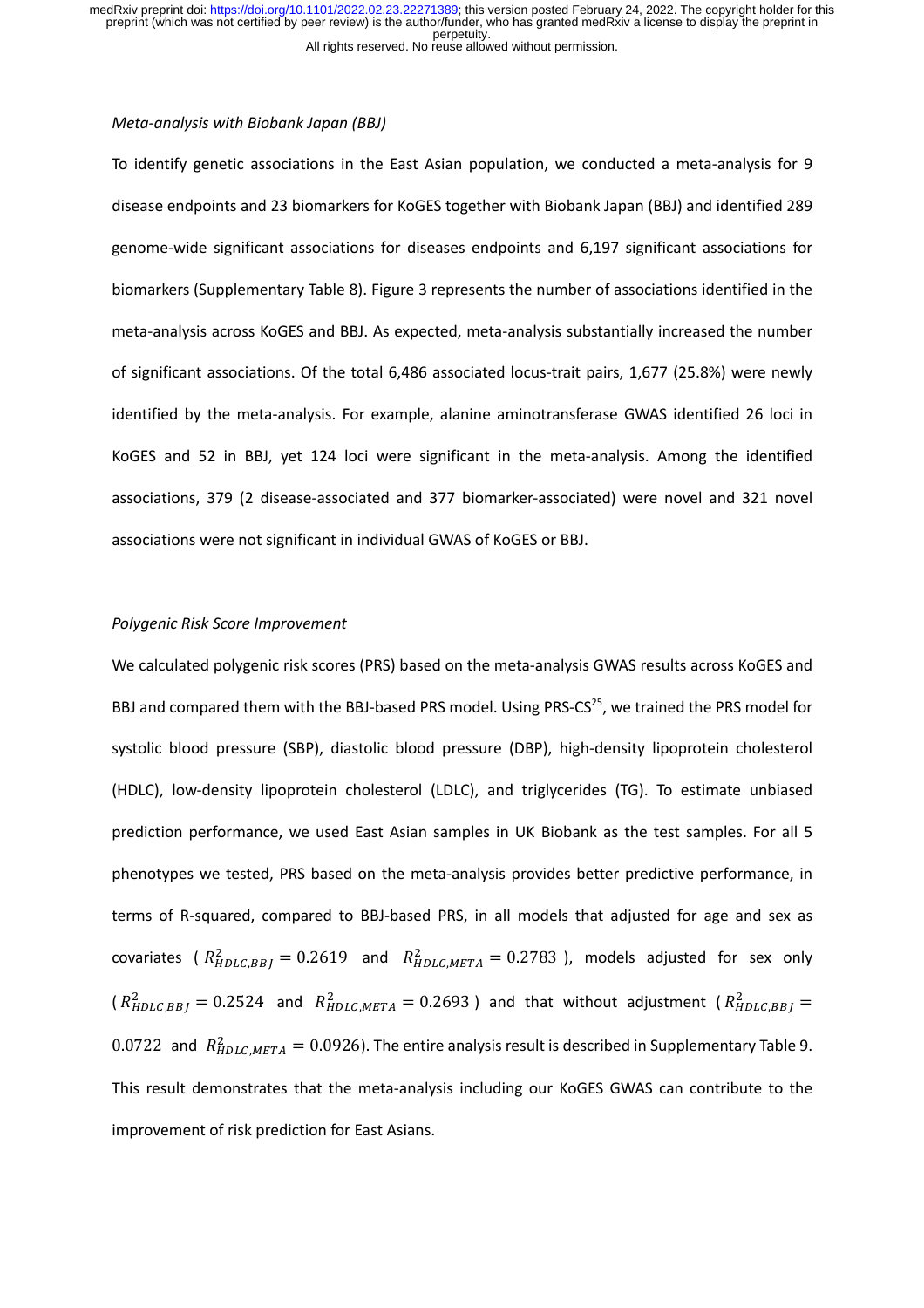#### *Meta-analysis with Biobank Japan (BBJ)*

To identify genetic associations in the East Asian population, we conducted a meta-analysis for 9 disease endpoints and 23 biomarkers for KoGES together with Biobank Japan (BBJ) and identified 289 genome-wide significant associations for diseases endpoints and 6,197 significant associations for biomarkers (Supplementary Table 8). Figure 3 represents the number of associations identified in the meta-analysis across KoGES and BBJ. As expected, meta-analysis substantially increased the number of significant associations. Of the total 6,486 associated locus-trait pairs, 1,677 (25.8%) were newly identified by the meta-analysis. For example, alanine aminotransferase GWAS identified 26 loci in KoGES and 52 in BBJ, yet 124 loci were significant in the meta-analysis. Among the identified associations, 379 (2 disease-associated and 377 biomarker-associated) were novel and 321 novel associations were not significant in individual GWAS of KoGES or BBJ.

#### *Polygenic Risk Score Improvement*

We calculated polygenic risk scores (PRS) based on the meta-analysis GWAS results across KoGES and BBJ and compared them with the BBJ-based PRS model. Using PRS-CS<sup>25</sup>, we trained the PRS model for systolic blood pressure (SBP), diastolic blood pressure (DBP), high-density lipoprotein cholesterol (HDLC), low-density lipoprotein cholesterol (LDLC), and triglycerides (TG). To estimate unbiased prediction performance, we used East Asian samples in UK Biobank as the test samples. For all 5 phenotypes we tested, PRS based on the meta-analysis provides better predictive performance, in terms of R-squared, compared to BBJ-based PRS, in all models that adjusted for age and sex as covariates (  $R_{HDLC,BBJ}^2 = 0.2619$  and  $R_{HDLC,META}^2 = 0.2783$  ), models adjusted for sex only ( $R_{HDLC,BBJ}^2 = 0.2524$  and  $R_{HDLC, META}^2 = 0.2693$ ) and that without adjustment ( $R_{HDLC,BBJ}^2 =$ 0.0722 and  $R_{HDLC, META}^2 = 0.0926$ ). The entire analysis result is described in Supplementary Table 9. This result demonstrates that the meta-analysis including our KoGES GWAS can contribute to the improvement of risk prediction for East Asians.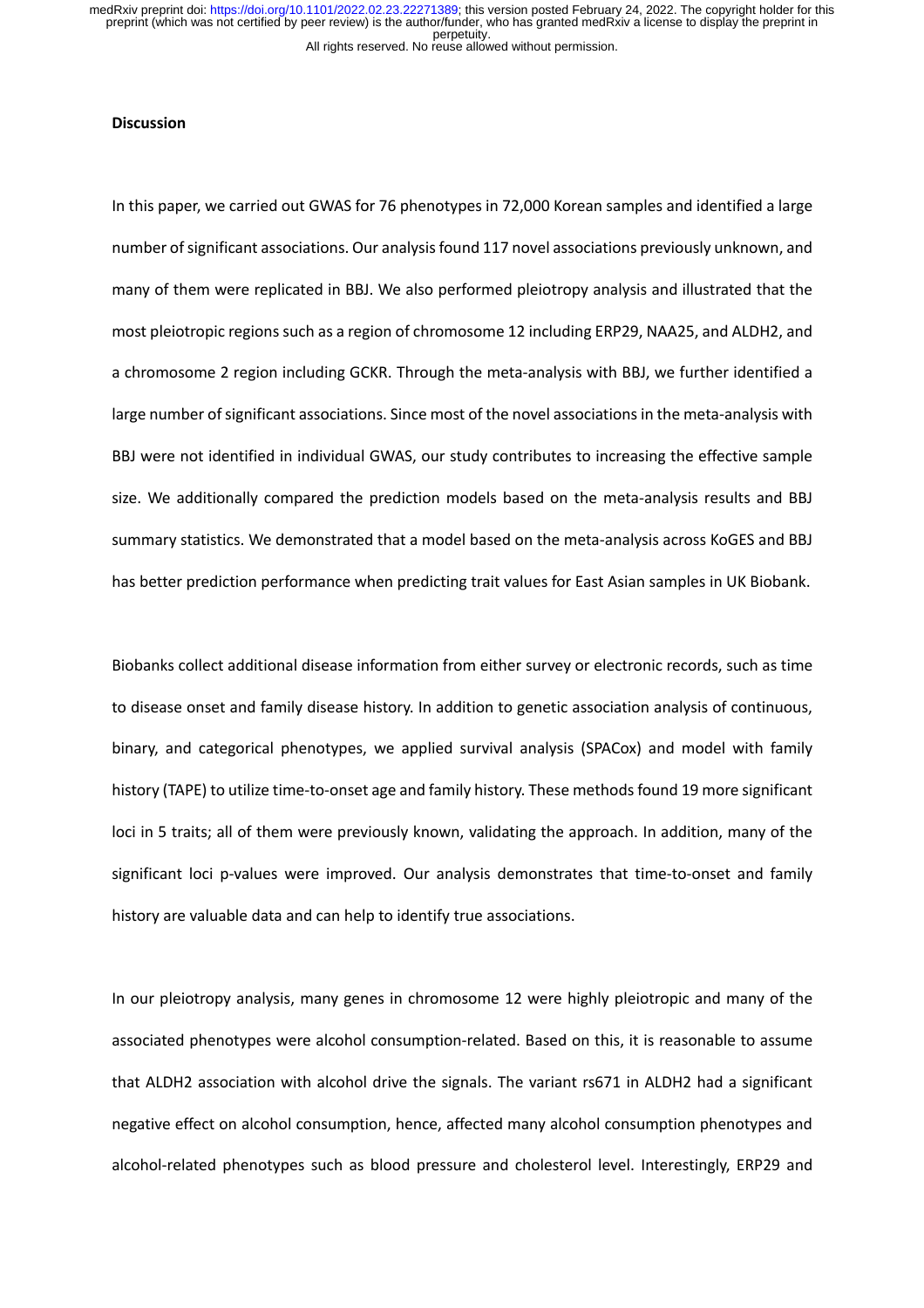#### **Discussion**

In this paper, we carried out GWAS for 76 phenotypes in 72,000 Korean samples and identified a large number of significant associations. Our analysis found 117 novel associations previously unknown, and many of them were replicated in BBJ. We also performed pleiotropy analysis and illustrated that the most pleiotropic regions such as a region of chromosome 12 including ERP29, NAA25, and ALDH2, and a chromosome 2 region including GCKR. Through the meta-analysis with BBJ, we further identified a large number of significant associations. Since most of the novel associations in the meta-analysis with BBJ were not identified in individual GWAS, our study contributes to increasing the effective sample size. We additionally compared the prediction models based on the meta-analysis results and BBJ summary statistics. We demonstrated that a model based on the meta-analysis across KoGES and BBJ has better prediction performance when predicting trait values for East Asian samples in UK Biobank.

Biobanks collect additional disease information from either survey or electronic records, such as time to disease onset and family disease history. In addition to genetic association analysis of continuous, binary, and categorical phenotypes, we applied survival analysis (SPACox) and model with family history (TAPE) to utilize time-to-onset age and family history. These methods found 19 more significant loci in 5 traits; all of them were previously known, validating the approach. In addition, many of the significant loci p-values were improved. Our analysis demonstrates that time-to-onset and family history are valuable data and can help to identify true associations.

In our pleiotropy analysis, many genes in chromosome 12 were highly pleiotropic and many of the associated phenotypes were alcohol consumption-related. Based on this, it is reasonable to assume that ALDH2 association with alcohol drive the signals. The variant rs671 in ALDH2 had a significant negative effect on alcohol consumption, hence, affected many alcohol consumption phenotypes and alcohol-related phenotypes such as blood pressure and cholesterol level. Interestingly, ERP29 and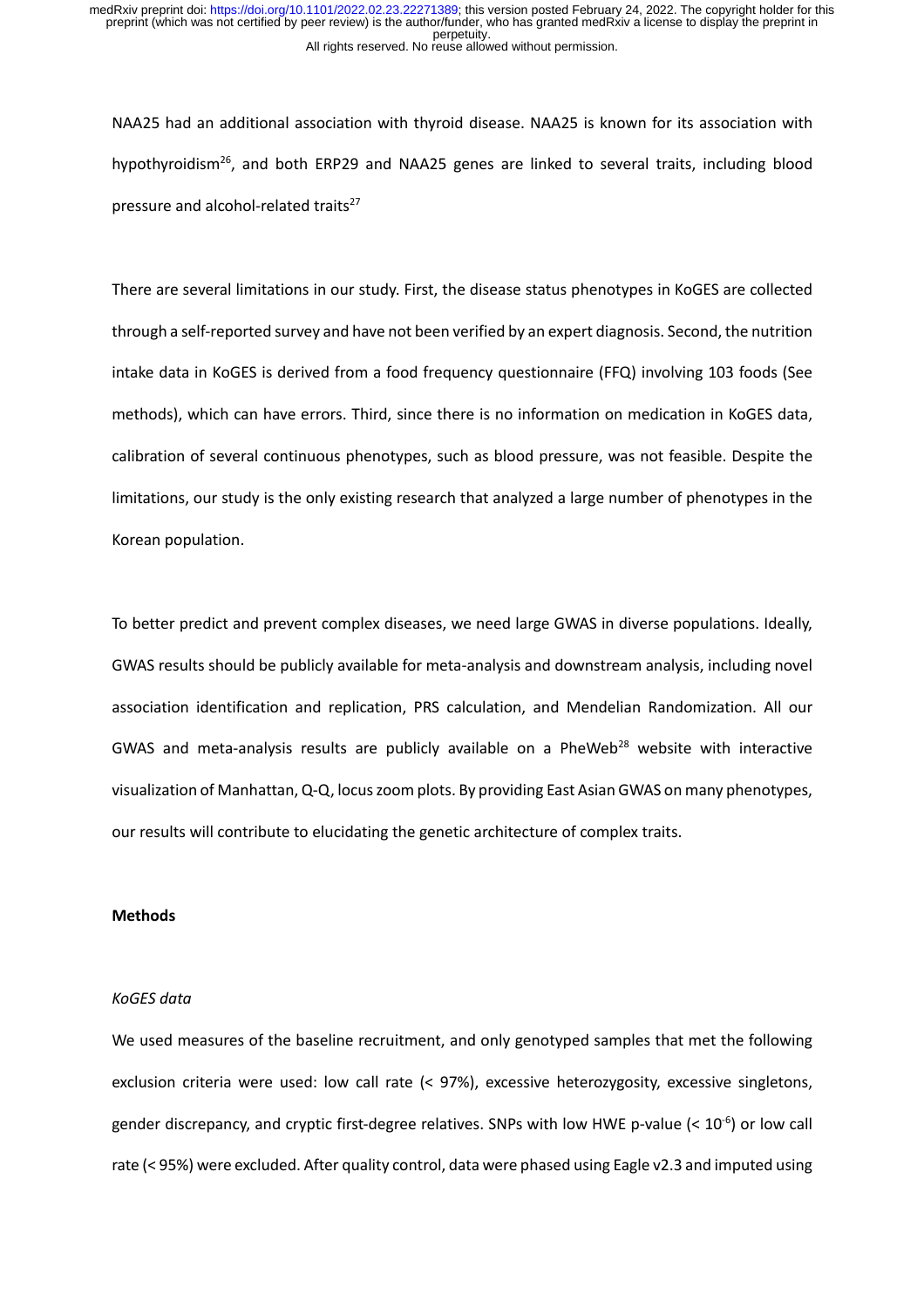NAA25 had an additional association with thyroid disease. NAA25 is known for its association with hypothyroidism<sup>26</sup>, and both ERP29 and NAA25 genes are linked to several traits, including blood pressure and alcohol-related traits<sup>27</sup>

There are several limitations in our study. First, the disease status phenotypes in KoGES are collected through a self-reported survey and have not been verified by an expert diagnosis. Second, the nutrition intake data in KoGES is derived from a food frequency questionnaire (FFQ) involving 103 foods (See methods), which can have errors. Third, since there is no information on medication in KoGES data, calibration of several continuous phenotypes, such as blood pressure, was not feasible. Despite the limitations, our study is the only existing research that analyzed a large number of phenotypes in the Korean population.

To better predict and prevent complex diseases, we need large GWAS in diverse populations. Ideally, GWAS results should be publicly available for meta-analysis and downstream analysis, including novel association identification and replication, PRS calculation, and Mendelian Randomization. All our GWAS and meta-analysis results are publicly available on a PheWeb<sup>28</sup> website with interactive visualization of Manhattan, Q-Q, locus zoom plots. By providing East Asian GWAS on many phenotypes, our results will contribute to elucidating the genetic architecture of complex traits.

# **Methods**

#### *KoGES data*

We used measures of the baseline recruitment, and only genotyped samples that met the following exclusion criteria were used: low call rate (< 97%), excessive heterozygosity, excessive singletons, gender discrepancy, and cryptic first-degree relatives. SNPs with low HWE p-value (<  $10^{-6}$ ) or low call rate (< 95%) were excluded. After quality control, data were phased using Eagle v2.3 and imputed using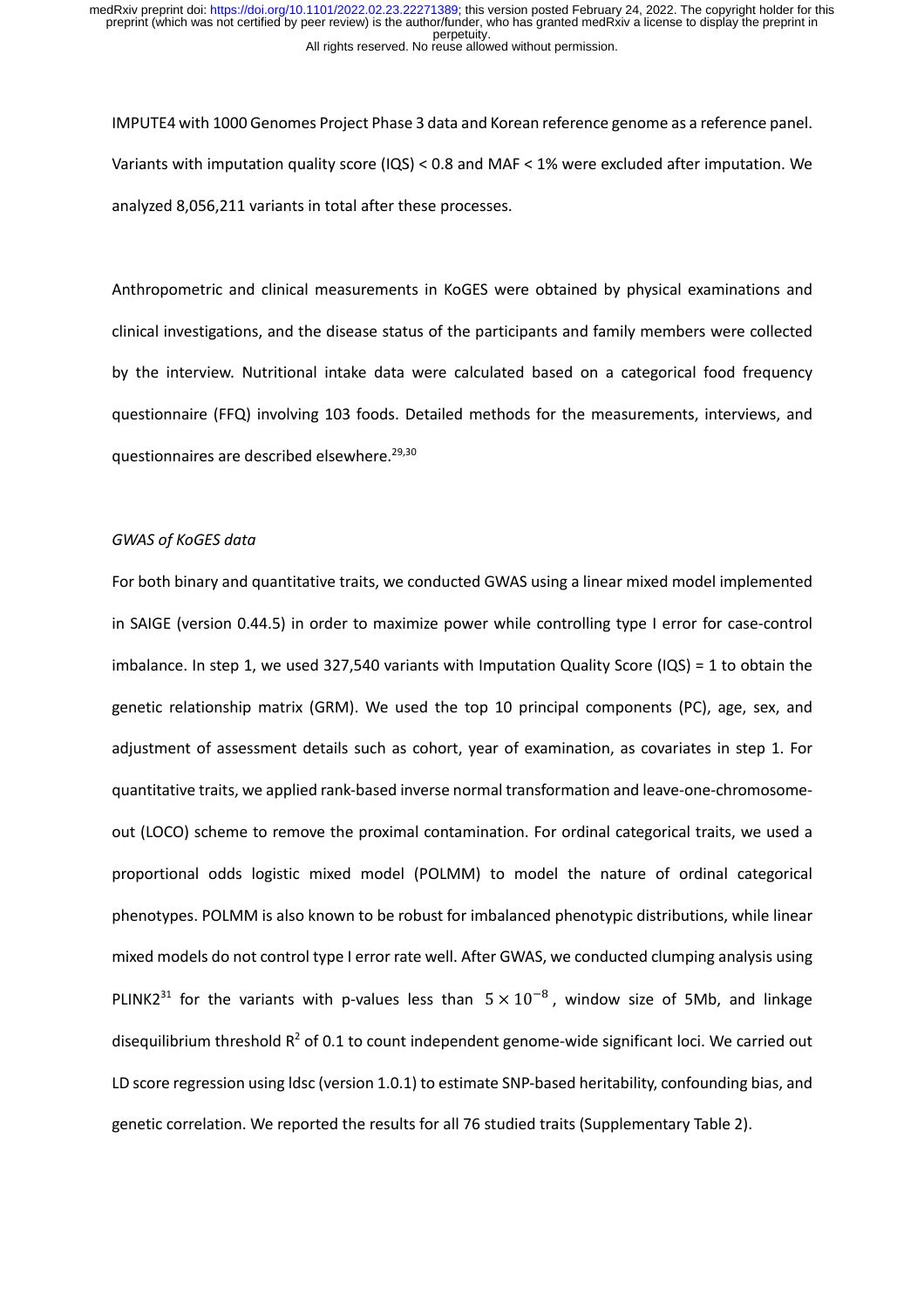IMPUTE4 with 1000 Genomes Project Phase 3 data and Korean reference genome as a reference panel. Variants with imputation quality score (IQS) < 0.8 and MAF < 1% were excluded after imputation. We analyzed 8,056,211 variants in total after these processes.

Anthropometric and clinical measurements in KoGES were obtained by physical examinations and clinical investigations, and the disease status of the participants and family members were collected by the interview. Nutritional intake data were calculated based on a categorical food frequency questionnaire (FFQ) involving 103 foods. Detailed methods for the measurements, interviews, and questionnaires are described elsewhere.<sup>29,30</sup>

# *GWAS of KoGES data*

For both binary and quantitative traits, we conducted GWAS using a linear mixed model implemented in SAIGE (version 0.44.5) in order to maximize power while controlling type I error for case-control imbalance. In step 1, we used 327,540 variants with Imputation Quality Score (IQS) = 1 to obtain the genetic relationship matrix (GRM). We used the top 10 principal components (PC), age, sex, and adjustment of assessment details such as cohort, year of examination, as covariates in step 1. For quantitative traits, we applied rank-based inverse normal transformation and leave-one-chromosomeout (LOCO) scheme to remove the proximal contamination. For ordinal categorical traits, we used a proportional odds logistic mixed model (POLMM) to model the nature of ordinal categorical phenotypes. POLMM is also known to be robust for imbalanced phenotypic distributions, while linear mixed models do not control type I error rate well. After GWAS, we conducted clumping analysis using PLINK2<sup>31</sup> for the variants with p-values less than  $5 \times 10^{-8}$ , window size of 5Mb, and linkage disequilibrium threshold  $R^2$  of 0.1 to count independent genome-wide significant loci. We carried out LD score regression using ldsc (version 1.0.1) to estimate SNP-based heritability, confounding bias, and genetic correlation. We reported the results for all 76 studied traits (Supplementary Table 2).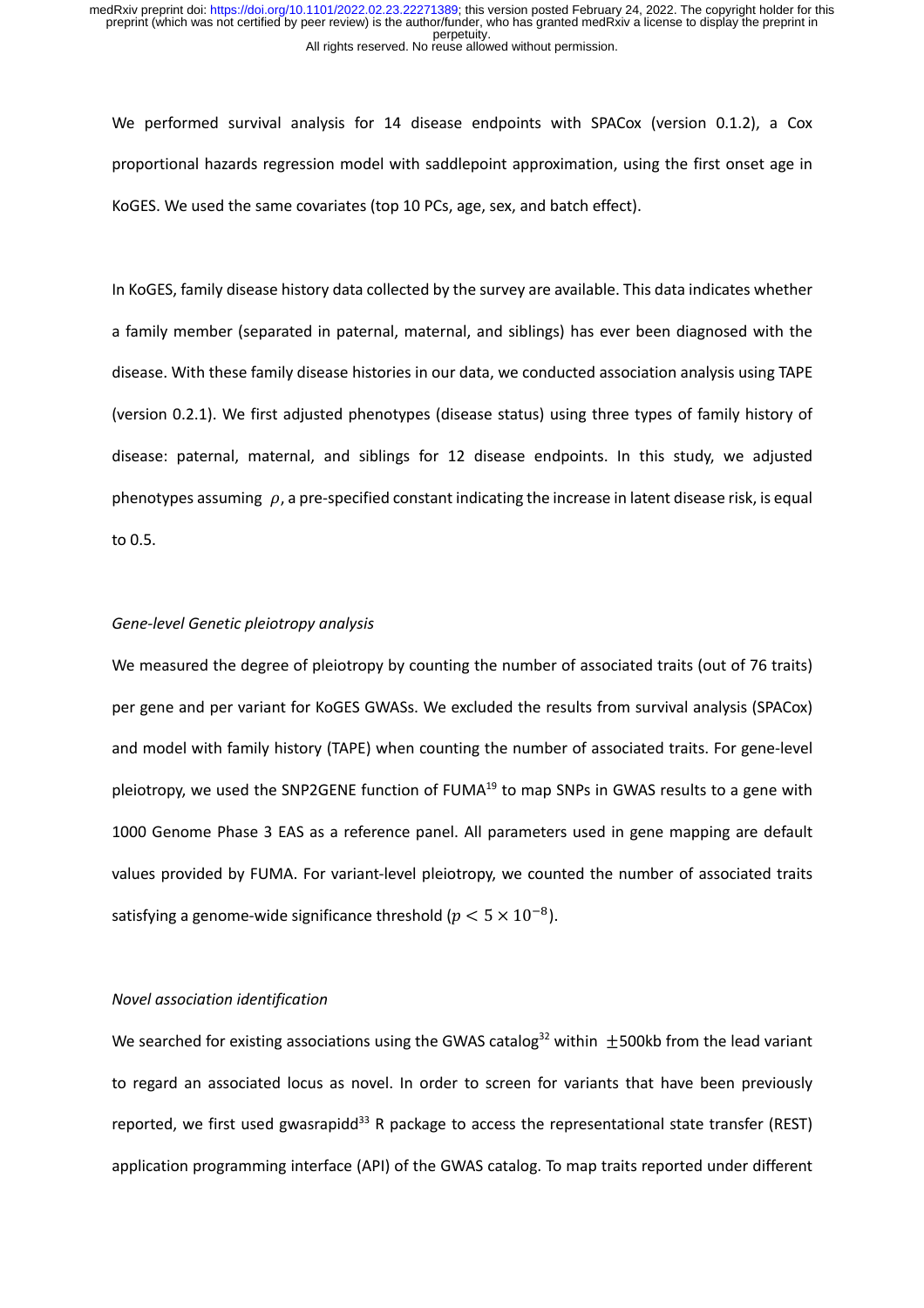We performed survival analysis for 14 disease endpoints with SPACox (version 0.1.2), a Cox proportional hazards regression model with saddlepoint approximation, using the first onset age in KoGES. We used the same covariates (top 10 PCs, age, sex, and batch effect).

In KoGES, family disease history data collected by the survey are available. This data indicates whether a family member (separated in paternal, maternal, and siblings) has ever been diagnosed with the disease. With these family disease histories in our data, we conducted association analysis using TAPE (version 0.2.1). We first adjusted phenotypes (disease status) using three types of family history of disease: paternal, maternal, and siblings for 12 disease endpoints. In this study, we adjusted phenotypes assuming  $\rho$ , a pre-specified constant indicating the increase in latent disease risk, is equal to 0.5.

# *Gene-level Genetic pleiotropy analysis*

We measured the degree of pleiotropy by counting the number of associated traits (out of 76 traits) per gene and per variant for KoGES GWASs. We excluded the results from survival analysis (SPACox) and model with family history (TAPE) when counting the number of associated traits. For gene-level pleiotropy, we used the SNP2GENE function of FUMA<sup>19</sup> to map SNPs in GWAS results to a gene with 1000 Genome Phase 3 EAS as a reference panel. All parameters used in gene mapping are default values provided by FUMA. For variant-level pleiotropy, we counted the number of associated traits satisfying a genome-wide significance threshold ( $p < 5 \times 10^{-8}$ ).

#### *Novel association identification*

We searched for existing associations using the GWAS catalog<sup>32</sup> within  $\pm$ 500kb from the lead variant to regard an associated locus as novel. In order to screen for variants that have been previously reported, we first used gwasrapidd<sup>33</sup> R package to access the representational state transfer (REST) application programming interface (API) of the GWAS catalog. To map traits reported under different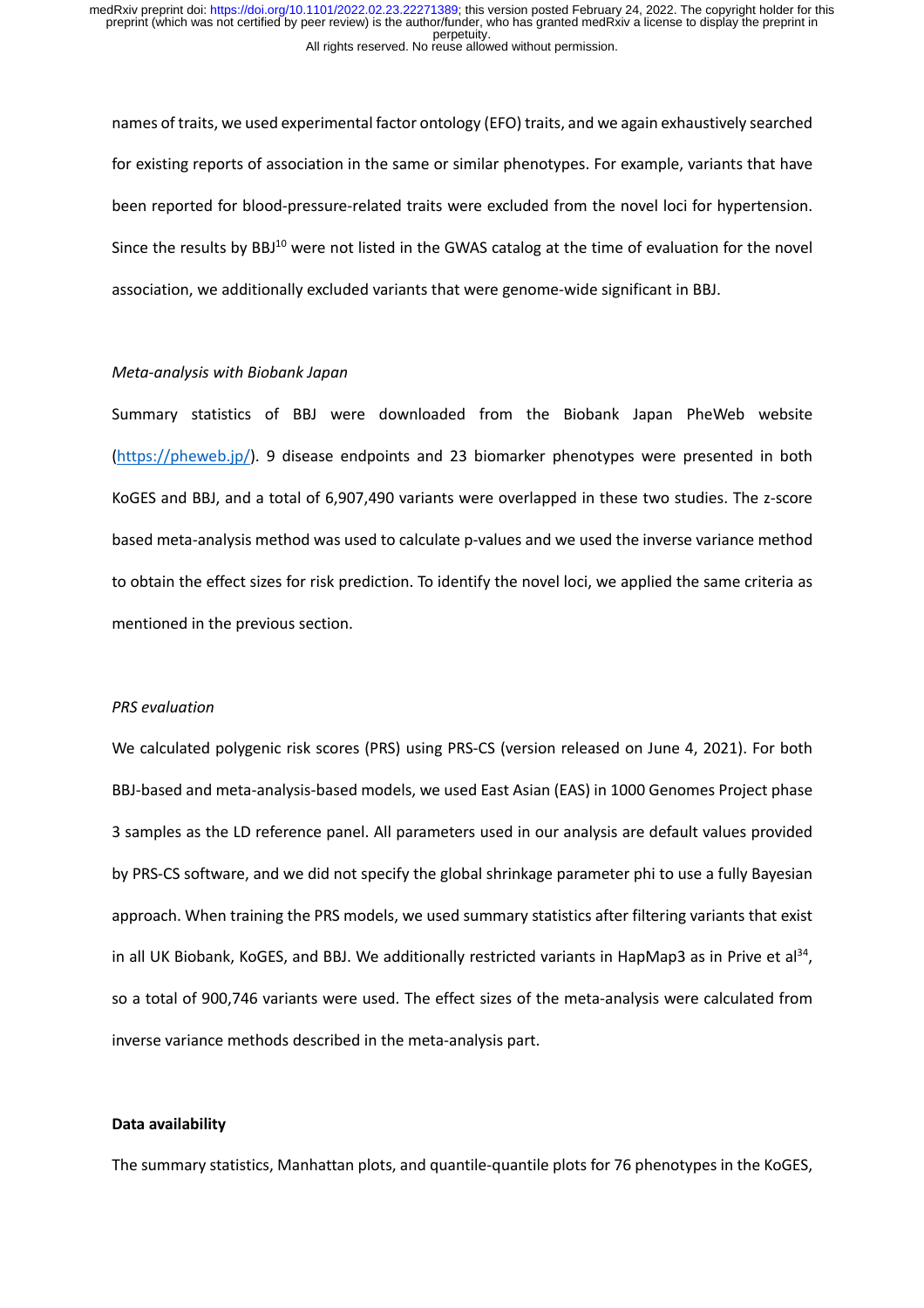names of traits, we used experimental factor ontology (EFO) traits, and we again exhaustively searched for existing reports of association in the same or similar phenotypes. For example, variants that have been reported for blood-pressure-related traits were excluded from the novel loci for hypertension. Since the results by BBJ<sup>10</sup> were not listed in the GWAS catalog at the time of evaluation for the novel association, we additionally excluded variants that were genome-wide significant in BBJ.

#### *Meta-analysis with Biobank Japan*

Summary statistics of BBJ were downloaded from the Biobank Japan PheWeb website (https://pheweb.jp/). 9 disease endpoints and 23 biomarker phenotypes were presented in both KoGES and BBJ, and a total of 6,907,490 variants were overlapped in these two studies. The z-score based meta-analysis method was used to calculate p-values and we used the inverse variance method to obtain the effect sizes for risk prediction. To identify the novel loci, we applied the same criteria as mentioned in the previous section.

## *PRS evaluation*

We calculated polygenic risk scores (PRS) using PRS-CS (version released on June 4, 2021). For both BBJ-based and meta-analysis-based models, we used East Asian (EAS) in 1000 Genomes Project phase 3 samples as the LD reference panel. All parameters used in our analysis are default values provided by PRS-CS software, and we did not specify the global shrinkage parameter phi to use a fully Bayesian approach. When training the PRS models, we used summary statistics after filtering variants that exist in all UK Biobank, KoGES, and BBJ. We additionally restricted variants in HapMap3 as in Prive et al<sup>34</sup>, so a total of 900,746 variants were used. The effect sizes of the meta-analysis were calculated from inverse variance methods described in the meta-analysis part.

#### **Data availability**

The summary statistics, Manhattan plots, and quantile-quantile plots for 76 phenotypes in the KoGES,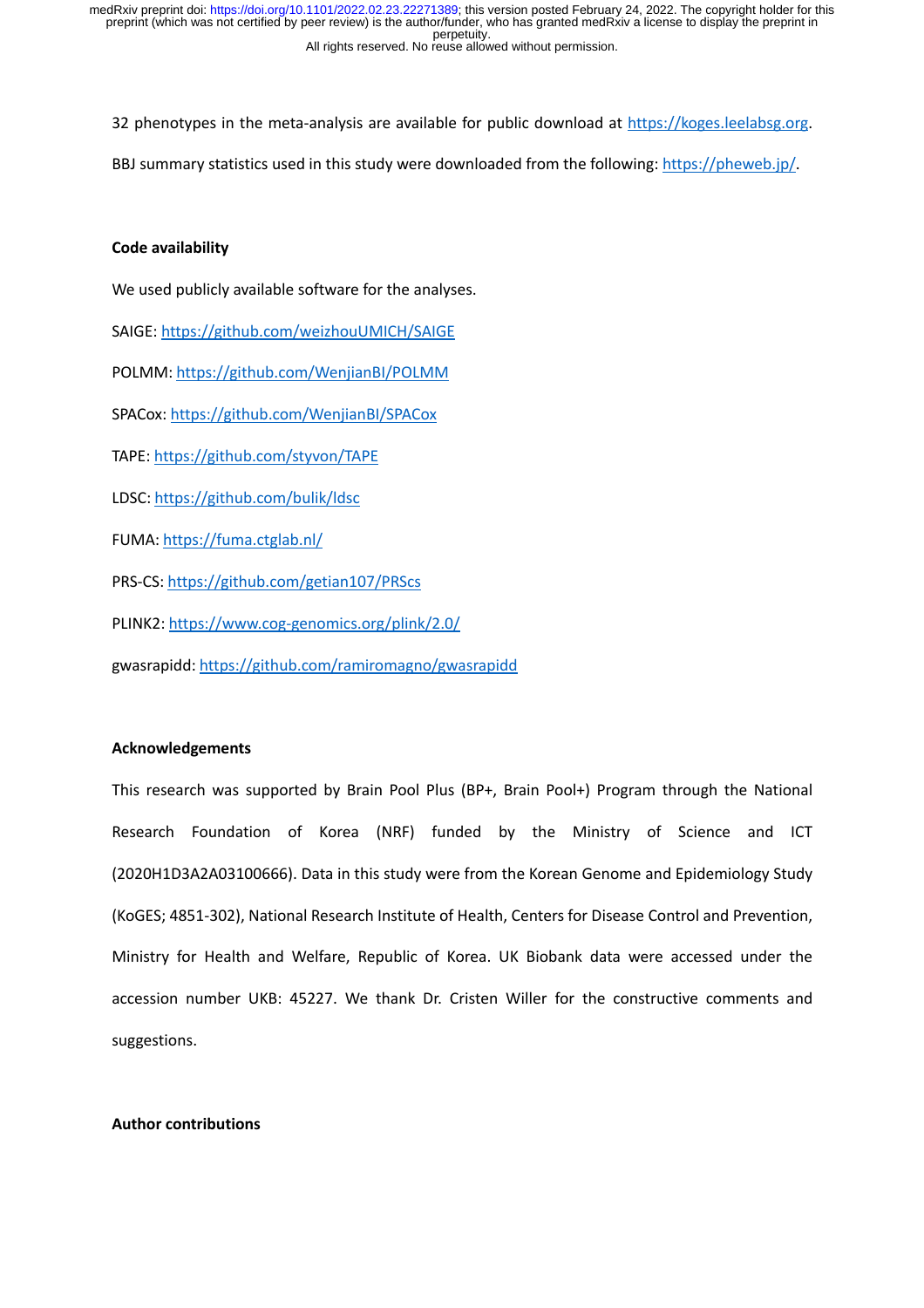32 phenotypes in the meta-analysis are available for public download at https://koges.leelabsg.org.

BBJ summary statistics used in this study were downloaded from the following: https://pheweb.jp/.

## **Code availability**

We used publicly available software for the analyses.

SAIGE: https://github.com/weizhouUMICH/SAIGE

POLMM: https://github.com/WenjianBI/POLMM

SPACox: https://github.com/WenjianBI/SPACox

TAPE: https://github.com/styvon/TAPE

LDSC: https://github.com/bulik/ldsc

FUMA: https://fuma.ctglab.nl/

PRS-CS: https://github.com/getian107/PRScs

PLINK2: https://www.cog-genomics.org/plink/2.0/

gwasrapidd: https://github.com/ramiromagno/gwasrapidd

# **Acknowledgements**

This research was supported by Brain Pool Plus (BP+, Brain Pool+) Program through the National Research Foundation of Korea (NRF) funded by the Ministry of Science and ICT (2020H1D3A2A03100666). Data in this study were from the Korean Genome and Epidemiology Study (KoGES; 4851-302), National Research Institute of Health, Centers for Disease Control and Prevention, Ministry for Health and Welfare, Republic of Korea. UK Biobank data were accessed under the accession number UKB: 45227. We thank Dr. Cristen Willer for the constructive comments and suggestions.

# **Author contributions**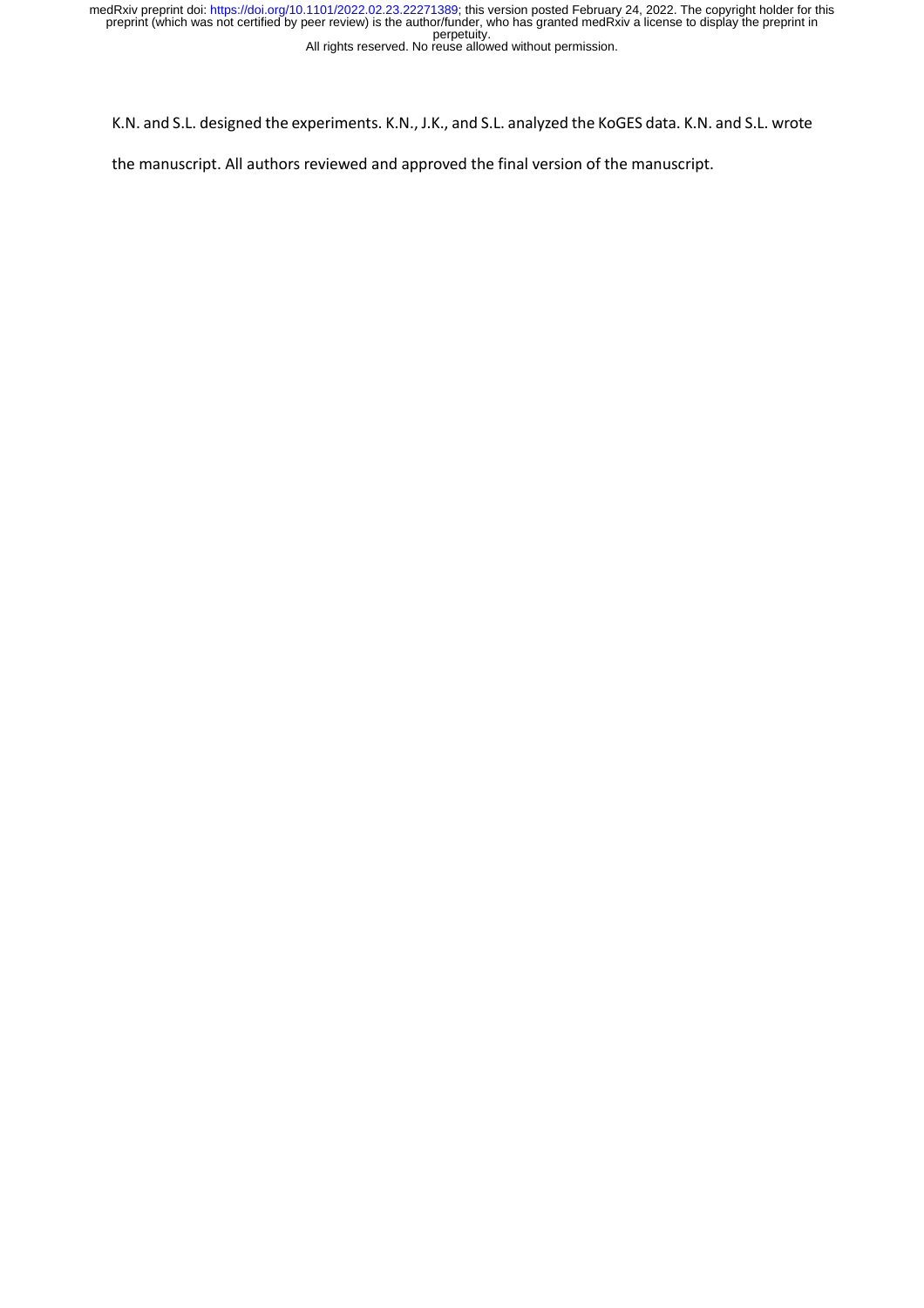K.N. and S.L. designed the experiments. K.N., J.K., and S.L. analyzed the KoGES data. K.N. and S.L. wrote

the manuscript. All authors reviewed and approved the final version of the manuscript.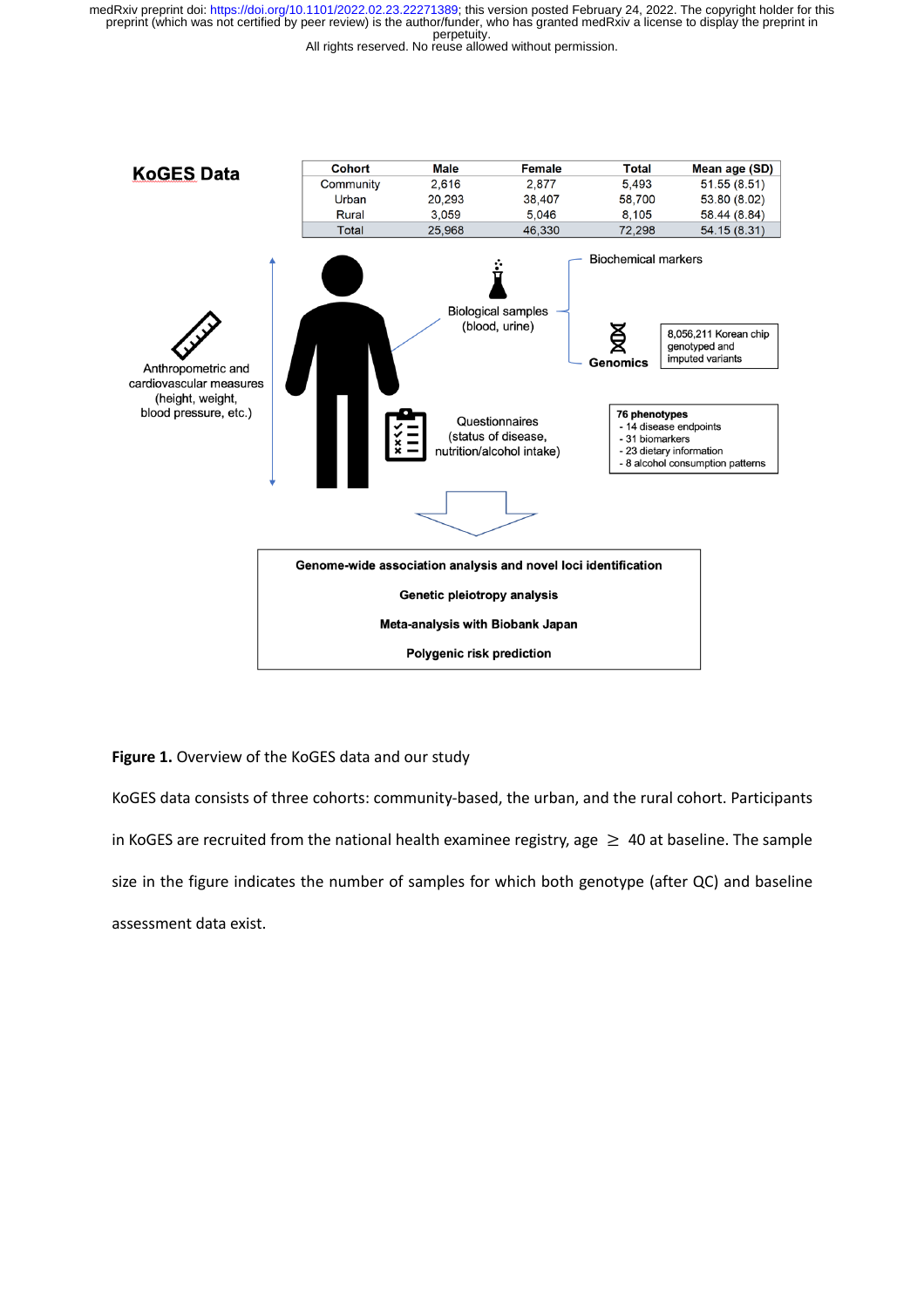All rights reserved. No reuse allowed without permission.



# **Figure 1.** Overview of the KoGES data and our study

KoGES data consists of three cohorts: community-based, the urban, and the rural cohort. Participants in KoGES are recruited from the national health examinee registry, age  $\geq$  40 at baseline. The sample size in the figure indicates the number of samples for which both genotype (after QC) and baseline assessment data exist.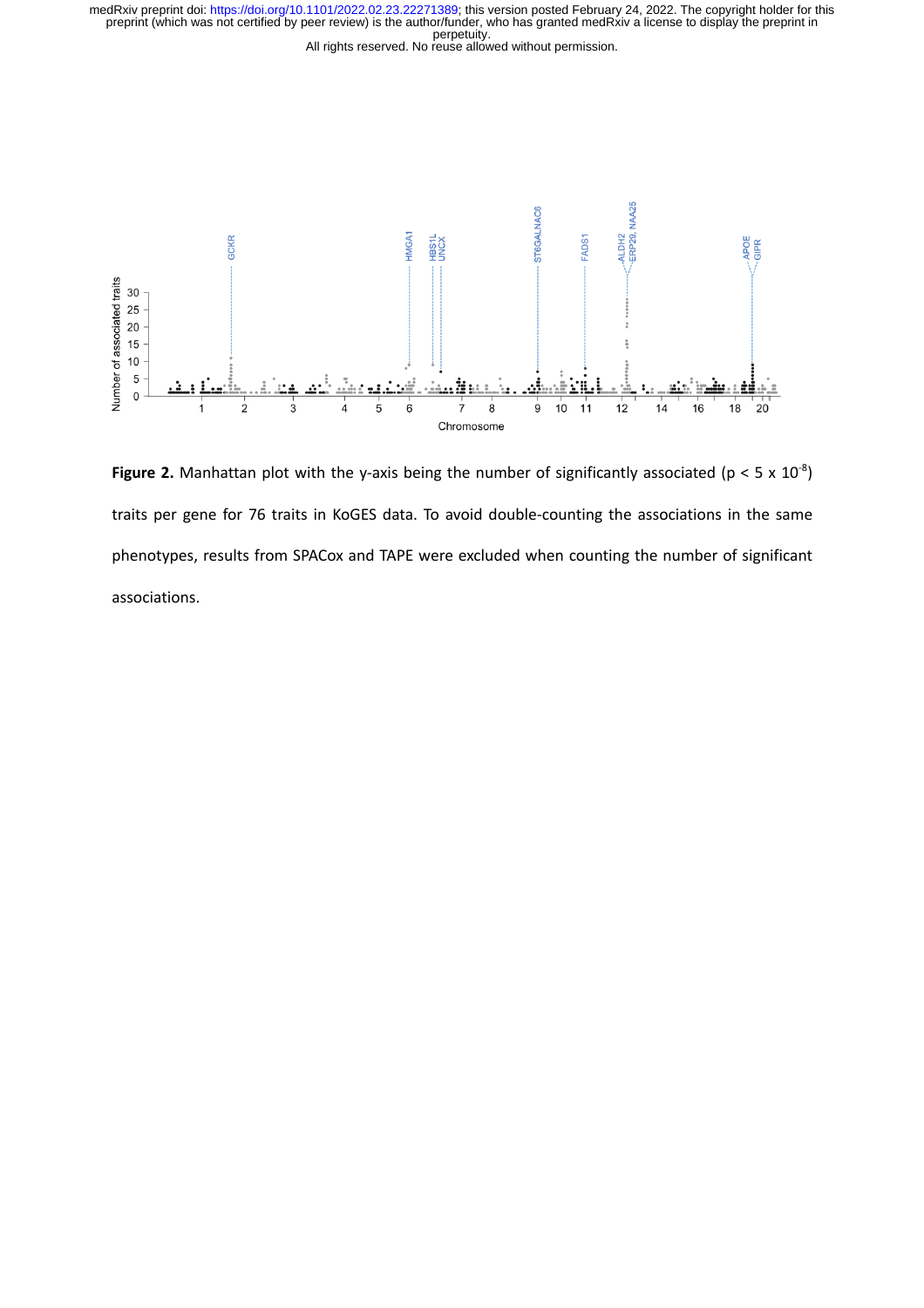



**Figure 2.** Manhattan plot with the y-axis being the number of significantly associated ( $p < 5 \times 10^{-8}$ ) traits per gene for 76 traits in KoGES data. To avoid double-counting the associations in the same phenotypes, results from SPACox and TAPE were excluded when counting the number of significant associations.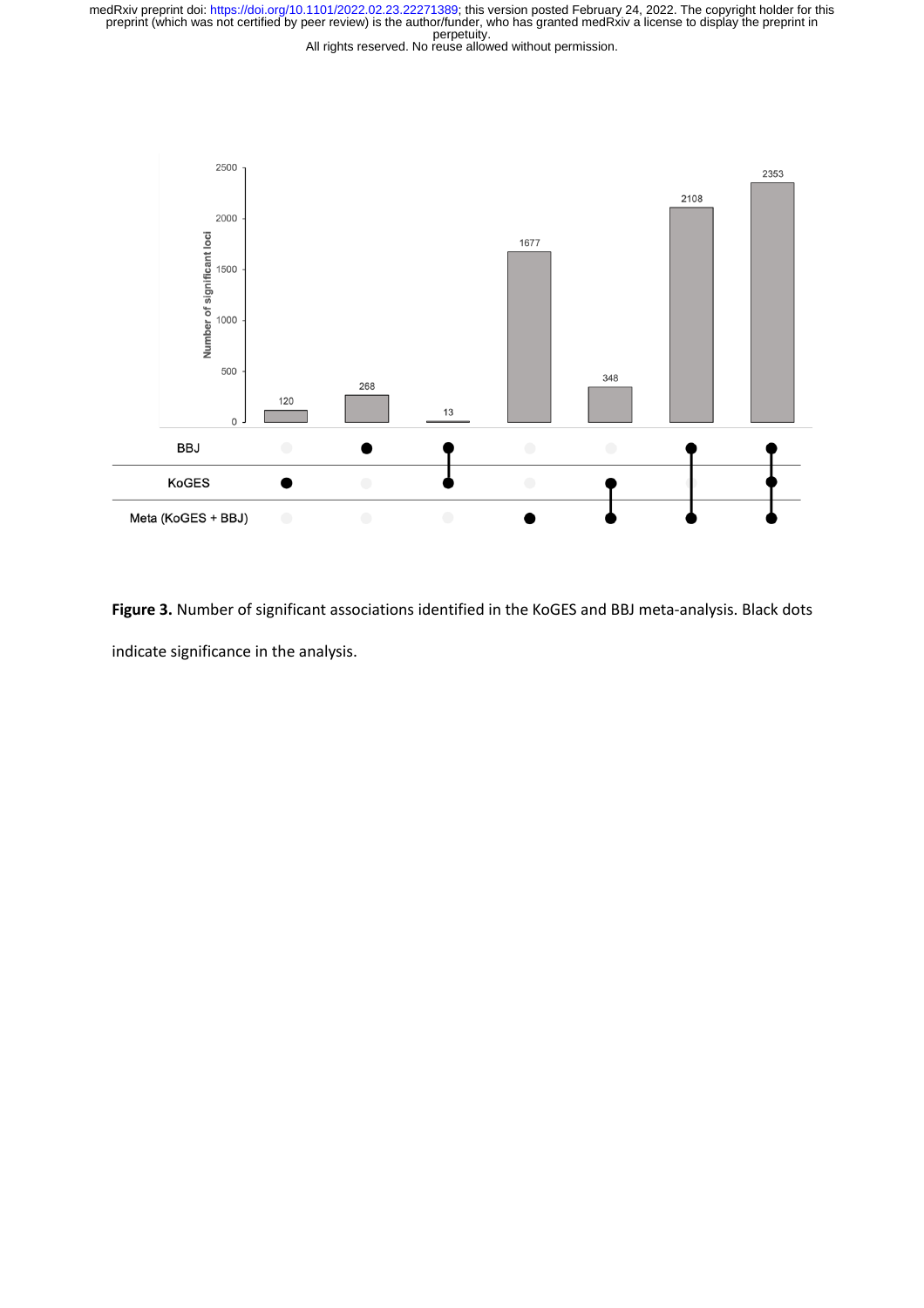All rights reserved. No reuse allowed without permission.



**Figure 3.** Number of significant associations identified in the KoGES and BBJ meta-analysis. Black dots indicate significance in the analysis.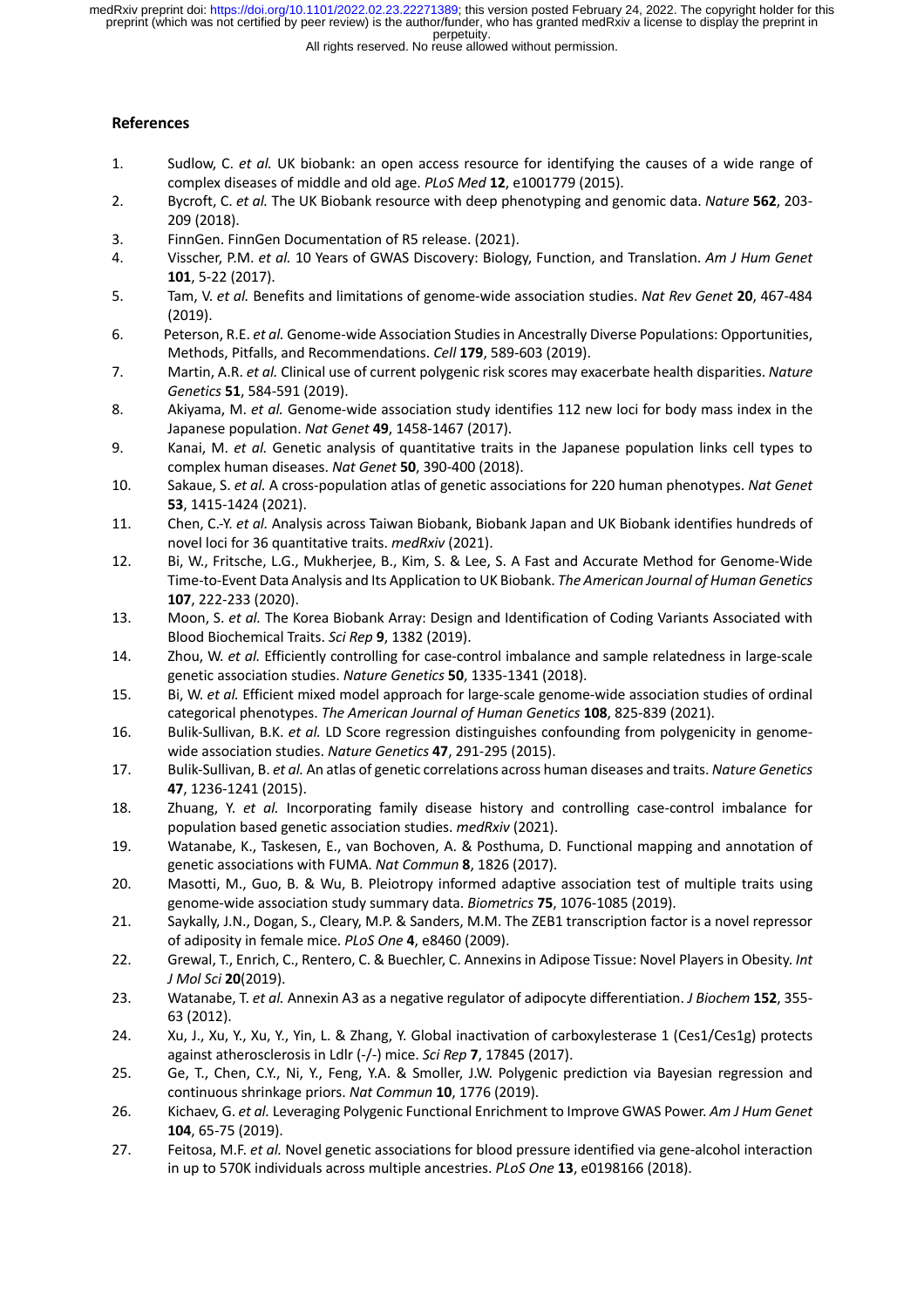All rights reserved. No reuse allowed without permission.

# **References**

- 1. Sudlow, C. *et al.* UK biobank: an open access resource for identifying the causes of a wide range of complex diseases of middle and old age. *PLoS Med* **12**, e1001779 (2015).
- 2. Bycroft, C. *et al.* The UK Biobank resource with deep phenotyping and genomic data. *Nature* **562**, 203- 209 (2018).
- 3. FinnGen. FinnGen Documentation of R5 release. (2021).
- 4. Visscher, P.M. *et al.* 10 Years of GWAS Discovery: Biology, Function, and Translation. *Am J Hum Genet* **101**, 5-22 (2017).
- 5. Tam, V. *et al.* Benefits and limitations of genome-wide association studies. *Nat Rev Genet* **20**, 467-484 (2019).
- 6. Peterson, R.E. *et al.* Genome-wide Association Studies in Ancestrally Diverse Populations: Opportunities, Methods, Pitfalls, and Recommendations. *Cell* **179**, 589-603 (2019).
- 7. Martin, A.R. *et al.* Clinical use of current polygenic risk scores may exacerbate health disparities. *Nature Genetics* **51**, 584-591 (2019).
- 8. Akiyama, M. *et al.* Genome-wide association study identifies 112 new loci for body mass index in the Japanese population. *Nat Genet* **49**, 1458-1467 (2017).
- 9. Kanai, M. *et al.* Genetic analysis of quantitative traits in the Japanese population links cell types to complex human diseases. *Nat Genet* **50**, 390-400 (2018).
- 10. Sakaue, S. *et al.* A cross-population atlas of genetic associations for 220 human phenotypes. *Nat Genet* **53**, 1415-1424 (2021).
- 11. Chen, C.-Y. *et al.* Analysis across Taiwan Biobank, Biobank Japan and UK Biobank identifies hundreds of novel loci for 36 quantitative traits. *medRxiv* (2021).
- 12. Bi, W., Fritsche, L.G., Mukherjee, B., Kim, S. & Lee, S. A Fast and Accurate Method for Genome-Wide Time-to-Event Data Analysis and Its Application to UK Biobank. *The American Journal of Human Genetics* **107**, 222-233 (2020).
- 13. Moon, S. *et al.* The Korea Biobank Array: Design and Identification of Coding Variants Associated with Blood Biochemical Traits. *Sci Rep* **9**, 1382 (2019).
- 14. Zhou, W. *et al.* Efficiently controlling for case-control imbalance and sample relatedness in large-scale genetic association studies. *Nature Genetics* **50**, 1335-1341 (2018).
- 15. Bi, W. *et al.* Efficient mixed model approach for large-scale genome-wide association studies of ordinal categorical phenotypes. *The American Journal of Human Genetics* **108**, 825-839 (2021).
- 16. Bulik-Sullivan, B.K. *et al.* LD Score regression distinguishes confounding from polygenicity in genomewide association studies. *Nature Genetics* **47**, 291-295 (2015).
- 17. Bulik-Sullivan, B. *et al.* An atlas of genetic correlations across human diseases and traits. *Nature Genetics* **47**, 1236-1241 (2015).
- 18. Zhuang, Y. *et al.* Incorporating family disease history and controlling case-control imbalance for population based genetic association studies. *medRxiv* (2021).
- 19. Watanabe, K., Taskesen, E., van Bochoven, A. & Posthuma, D. Functional mapping and annotation of genetic associations with FUMA. *Nat Commun* **8**, 1826 (2017).
- 20. Masotti, M., Guo, B. & Wu, B. Pleiotropy informed adaptive association test of multiple traits using genome-wide association study summary data. *Biometrics* **75**, 1076-1085 (2019).
- 21. Saykally, J.N., Dogan, S., Cleary, M.P. & Sanders, M.M. The ZEB1 transcription factor is a novel repressor of adiposity in female mice. *PLoS One* **4**, e8460 (2009).
- 22. Grewal, T., Enrich, C., Rentero, C. & Buechler, C. Annexins in Adipose Tissue: Novel Players in Obesity. *Int J Mol Sci* **20**(2019).
- 23. Watanabe, T. *et al.* Annexin A3 as a negative regulator of adipocyte differentiation. *J Biochem* **152**, 355- 63 (2012).
- 24. Xu, J., Xu, Y., Xu, Y., Yin, L. & Zhang, Y. Global inactivation of carboxylesterase 1 (Ces1/Ces1g) protects against atherosclerosis in Ldlr (-/-) mice. *Sci Rep* **7**, 17845 (2017).
- 25. Ge, T., Chen, C.Y., Ni, Y., Feng, Y.A. & Smoller, J.W. Polygenic prediction via Bayesian regression and continuous shrinkage priors. *Nat Commun* **10**, 1776 (2019).
- 26. Kichaev, G. *et al.* Leveraging Polygenic Functional Enrichment to Improve GWAS Power. *Am J Hum Genet* **104**, 65-75 (2019).
- 27. Feitosa, M.F. *et al.* Novel genetic associations for blood pressure identified via gene-alcohol interaction in up to 570K individuals across multiple ancestries. *PLoS One* **13**, e0198166 (2018).